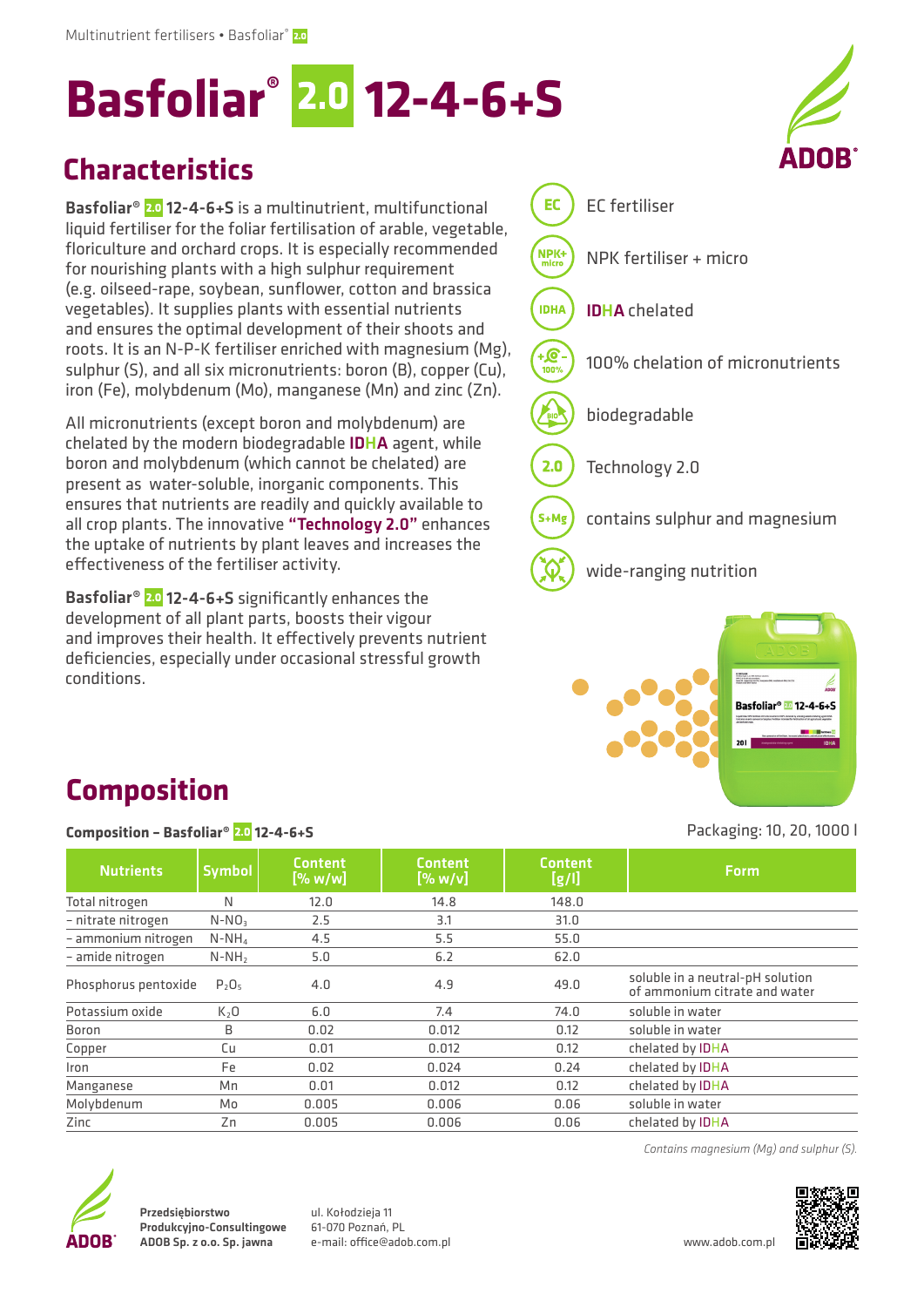# **Basfoliar® 12-4-6+S**

#### **Characteristics**

Basfoliar<sup>®</sup> 2.0 12-4-6+S is a multinutrient, multifunctional liquid fertiliser for the foliar fertilisation of arable, vegetable, floriculture and orchard crops. It is especially recommended for nourishing plants with a high sulphur requirement (e.g. oilseed-rape, soybean, sunflower, cotton and brassica vegetables). It supplies plants with essential nutrients and ensures the optimal development of their shoots and roots. It is an N-P-K fertiliser enriched with magnesium (Mg), sulphur (S), and all six micronutrients: boron (B), copper (Cu), iron (Fe), molybdenum (Mo), manganese (Mn) and zinc (Zn).

All micronutrients (except boron and molybdenum) are chelated by the modern biodegradable IDHA agent, while boron and molybdenum (which cannot be chelated) are present as water-soluble, inorganic components. This ensures that nutrients are readily and quickly available to all crop plants. The innovative "Technology 2.0" enhances the uptake of nutrients by plant leaves and increases the effectiveness of the fertiliser activity.

Basfoliar<sup>®</sup> 2.0 12-4-6+S significantly enhances the development of all plant parts, boosts their vigour and improves their health. It effectively prevents nutrient deficiencies, especially under occasional stressful growth conditions.





Packaging: 10, 20, 1000 l

## **Composition**

#### **Composition – Basfoliar® 12-4-6+S**

| <b>Nutrients</b>     | <b>Symbol</b>    | <b>Content</b><br>[% w/w] | <b>Content</b><br>$[\%$ w/v] | <b>Content</b><br>[g/l] | Form.                                                             |
|----------------------|------------------|---------------------------|------------------------------|-------------------------|-------------------------------------------------------------------|
| Total nitrogen       | N                | 12.0                      | 14.8                         | 148.0                   |                                                                   |
| - nitrate nitrogen   | $N-NO3$          | 2.5                       | 3.1                          | 31.0                    |                                                                   |
| - ammonium nitrogen  | $N-NH_4$         | 4.5                       | 5.5                          | 55.0                    |                                                                   |
| - amide nitrogen     | $N-NH2$          | 5.0                       | 6.2                          | 62.0                    |                                                                   |
| Phosphorus pentoxide | $P_2O_5$         | 4.0                       | 4.9                          | 49.0                    | soluble in a neutral-pH solution<br>of ammonium citrate and water |
| Potassium oxide      | K <sub>2</sub> O | 6.0                       | 7.4                          | 74.0                    | soluble in water                                                  |
| Boron                | B                | 0.02                      | 0.012                        | 0.12                    | soluble in water                                                  |
| Copper               | Сu               | 0.01                      | 0.012                        | 0.12                    | chelated by <b>IDHA</b>                                           |
| Iron                 | Fe               | 0.02                      | 0.024                        | 0.24                    | chelated by <b>IDHA</b>                                           |
| Manganese            | Мn               | 0.01                      | 0.012                        | 0.12                    | chelated by <b>IDHA</b>                                           |
| Molybdenum           | Mo               | 0.005                     | 0.006                        | 0.06                    | soluble in water                                                  |
| Zinc                 | Zn               | 0.005                     | 0.006                        | 0.06                    | chelated by <b>IDHA</b>                                           |



Przedsiębiorstwo Produkcyjno-Consultingowe ADOB Sp. z o.o. Sp. jawna

ul. Kołodzieja 11 61-070 Poznań, PL e-mail: office@adob.com.pl www.adob.com.pl

*Contains magnesium (Mg) and sulphur (S).*